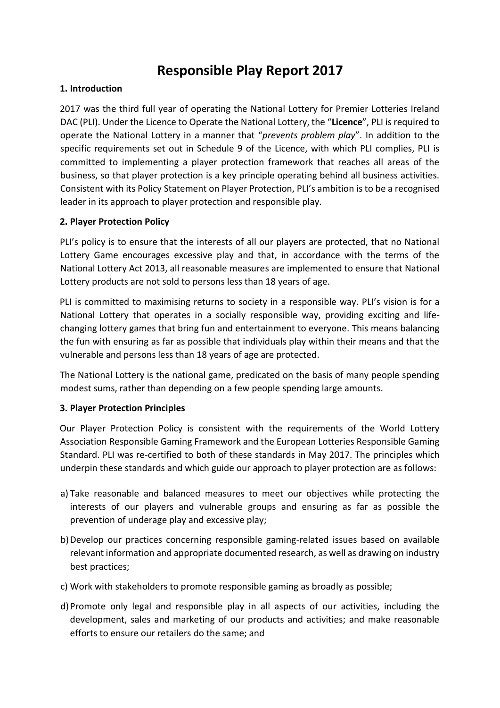# **Responsible Play Report 2017**

#### **1. Introduction**

2017 was the third full year of operating the National Lottery for Premier Lotteries Ireland DAC (PLI). Under the Licence to Operate the National Lottery, the "**Licence**", PLI is required to operate the National Lottery in a manner that "*prevents problem play*". In addition to the specific requirements set out in Schedule 9 of the Licence, with which PLI complies, PLI is committed to implementing a player protection framework that reaches all areas of the business, so that player protection is a key principle operating behind all business activities. Consistent with its Policy Statement on Player Protection, PLI's ambition is to be a recognised leader in its approach to player protection and responsible play.

#### **2. Player Protection Policy**

PLI's policy is to ensure that the interests of all our players are protected, that no National Lottery Game encourages excessive play and that, in accordance with the terms of the National Lottery Act 2013, all reasonable measures are implemented to ensure that National Lottery products are not sold to persons less than 18 years of age.

PLI is committed to maximising returns to society in a responsible way. PLI's vision is for a National Lottery that operates in a socially responsible way, providing exciting and lifechanging lottery games that bring fun and entertainment to everyone. This means balancing the fun with ensuring as far as possible that individuals play within their means and that the vulnerable and persons less than 18 years of age are protected.

The National Lottery is the national game, predicated on the basis of many people spending modest sums, rather than depending on a few people spending large amounts.

#### **3. Player Protection Principles**

Our Player Protection Policy is consistent with the requirements of the World Lottery Association Responsible Gaming Framework and the European Lotteries Responsible Gaming Standard. PLI was re-certified to both of these standards in May 2017. The principles which underpin these standards and which guide our approach to player protection are as follows:

- a) Take reasonable and balanced measures to meet our objectives while protecting the interests of our players and vulnerable groups and ensuring as far as possible the prevention of underage play and excessive play;
- b)Develop our practices concerning responsible gaming-related issues based on available relevant information and appropriate documented research, as well as drawing on industry best practices;
- c) Work with stakeholders to promote responsible gaming as broadly as possible;
- d)Promote only legal and responsible play in all aspects of our activities, including the development, sales and marketing of our products and activities; and make reasonable efforts to ensure our retailers do the same; and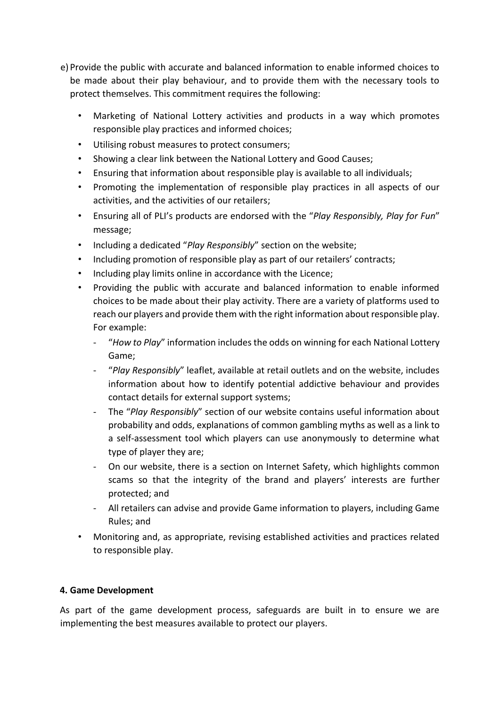- e) Provide the public with accurate and balanced information to enable informed choices to be made about their play behaviour, and to provide them with the necessary tools to protect themselves. This commitment requires the following:
	- Marketing of National Lottery activities and products in a way which promotes responsible play practices and informed choices;
	- Utilising robust measures to protect consumers;
	- Showing a clear link between the National Lottery and Good Causes;
	- Ensuring that information about responsible play is available to all individuals;
	- Promoting the implementation of responsible play practices in all aspects of our activities, and the activities of our retailers;
	- Ensuring all of PLI's products are endorsed with the "*Play Responsibly, Play for Fun*" message;
	- Including a dedicated "*Play Responsibly*" section on the website;
	- Including promotion of responsible play as part of our retailers' contracts;
	- Including play limits online in accordance with the Licence;
	- Providing the public with accurate and balanced information to enable informed choices to be made about their play activity. There are a variety of platforms used to reach our players and provide them with the right information about responsible play. For example:
		- "*How to Play*" information includes the odds on winning for each National Lottery Game;
		- "*Play Responsibly*" leaflet, available at retail outlets and on the website, includes information about how to identify potential addictive behaviour and provides contact details for external support systems;
		- The "*Play Responsibly*" section of our website contains useful information about probability and odds, explanations of common gambling myths as well as a link to a self-assessment tool which players can use anonymously to determine what type of player they are;
		- On our website, there is a section on Internet Safety, which highlights common scams so that the integrity of the brand and players' interests are further protected; and
		- All retailers can advise and provide Game information to players, including Game Rules; and
	- Monitoring and, as appropriate, revising established activities and practices related to responsible play.

# **4. Game Development**

As part of the game development process, safeguards are built in to ensure we are implementing the best measures available to protect our players.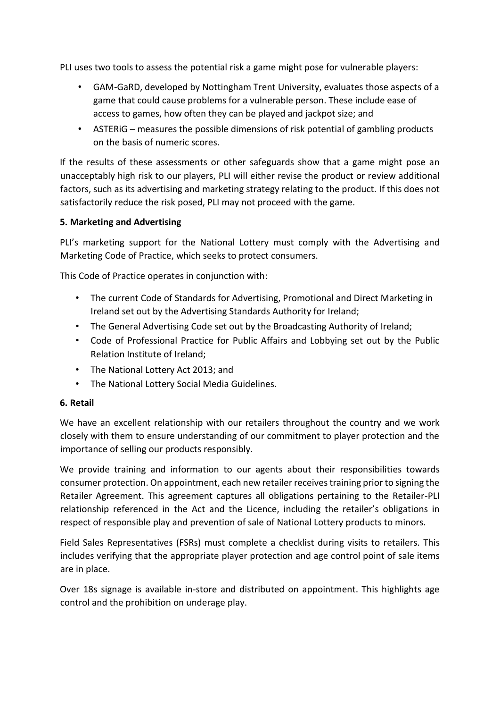PLI uses two tools to assess the potential risk a game might pose for vulnerable players:

- GAM-GaRD, developed by Nottingham Trent University, evaluates those aspects of a game that could cause problems for a vulnerable person. These include ease of access to games, how often they can be played and jackpot size; and
- ASTERiG measures the possible dimensions of risk potential of gambling products on the basis of numeric scores.

If the results of these assessments or other safeguards show that a game might pose an unacceptably high risk to our players, PLI will either revise the product or review additional factors, such as its advertising and marketing strategy relating to the product. If this does not satisfactorily reduce the risk posed, PLI may not proceed with the game.

#### **5. Marketing and Advertising**

PLI's marketing support for the National Lottery must comply with the Advertising and Marketing Code of Practice, which seeks to protect consumers.

This Code of Practice operates in conjunction with:

- The current Code of Standards for Advertising, Promotional and Direct Marketing in Ireland set out by the Advertising Standards Authority for Ireland;
- The General Advertising Code set out by the Broadcasting Authority of Ireland;
- Code of Professional Practice for Public Affairs and Lobbying set out by the Public Relation Institute of Ireland;
- The National Lottery Act 2013; and
- The National Lottery Social Media Guidelines.

#### **6. Retail**

We have an excellent relationship with our retailers throughout the country and we work closely with them to ensure understanding of our commitment to player protection and the importance of selling our products responsibly.

We provide training and information to our agents about their responsibilities towards consumer protection. On appointment, each new retailer receives training prior to signing the Retailer Agreement. This agreement captures all obligations pertaining to the Retailer-PLI relationship referenced in the Act and the Licence, including the retailer's obligations in respect of responsible play and prevention of sale of National Lottery products to minors.

Field Sales Representatives (FSRs) must complete a checklist during visits to retailers. This includes verifying that the appropriate player protection and age control point of sale items are in place.

Over 18s signage is available in-store and distributed on appointment. This highlights age control and the prohibition on underage play.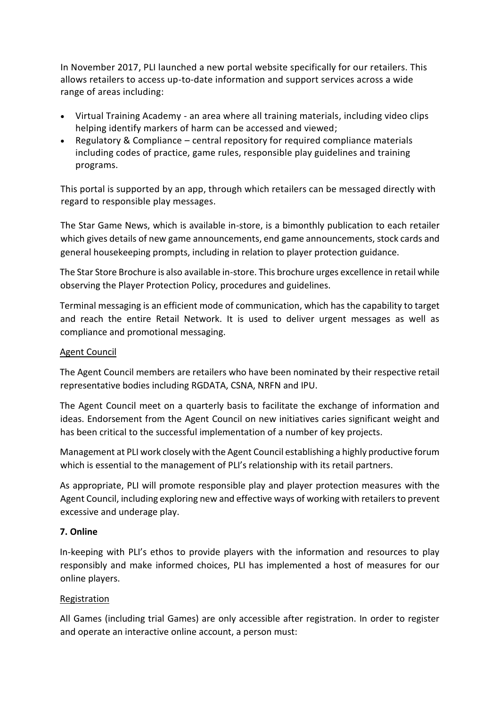In November 2017, PLI launched a new portal website specifically for our retailers. This allows retailers to access up-to-date information and support services across a wide range of areas including:

- Virtual Training Academy an area where all training materials, including video clips helping identify markers of harm can be accessed and viewed;
- Regulatory & Compliance central repository for required compliance materials including codes of practice, game rules, responsible play guidelines and training programs.

This portal is supported by an app, through which retailers can be messaged directly with regard to responsible play messages.

The Star Game News, which is available in-store, is a bimonthly publication to each retailer which gives details of new game announcements, end game announcements, stock cards and general housekeeping prompts, including in relation to player protection guidance.

The Star Store Brochure is also available in-store. This brochure urges excellence in retail while observing the Player Protection Policy, procedures and guidelines.

Terminal messaging is an efficient mode of communication, which has the capability to target and reach the entire Retail Network. It is used to deliver urgent messages as well as compliance and promotional messaging.

#### Agent Council

The Agent Council members are retailers who have been nominated by their respective retail representative bodies including RGDATA, CSNA, NRFN and IPU.

The Agent Council meet on a quarterly basis to facilitate the exchange of information and ideas. Endorsement from the Agent Council on new initiatives caries significant weight and has been critical to the successful implementation of a number of key projects.

Management at PLI work closely with the Agent Council establishing a highly productive forum which is essential to the management of PLI's relationship with its retail partners.

As appropriate, PLI will promote responsible play and player protection measures with the Agent Council, including exploring new and effective ways of working with retailers to prevent excessive and underage play.

#### **7. Online**

In-keeping with PLI's ethos to provide players with the information and resources to play responsibly and make informed choices, PLI has implemented a host of measures for our online players.

#### Registration

All Games (including trial Games) are only accessible after registration. In order to register and operate an interactive online account, a person must: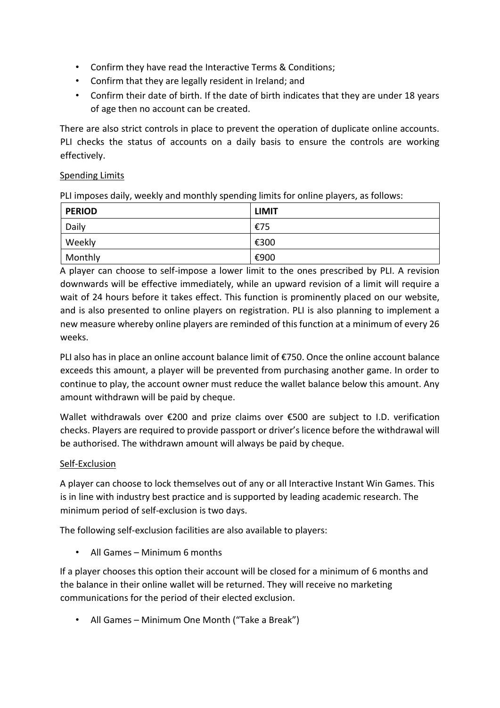- Confirm they have read the Interactive Terms & Conditions;
- Confirm that they are legally resident in Ireland; and
- Confirm their date of birth. If the date of birth indicates that they are under 18 years of age then no account can be created.

There are also strict controls in place to prevent the operation of duplicate online accounts. PLI checks the status of accounts on a daily basis to ensure the controls are working effectively.

## Spending Limits

PLI imposes daily, weekly and monthly spending limits for online players, as follows:

| <b>PERIOD</b> | <b>LIMIT</b> |
|---------------|--------------|
| Daily         | €75          |
| Weekly        | €300         |
| Monthly       | €900         |

A player can choose to self-impose a lower limit to the ones prescribed by PLI. A revision downwards will be effective immediately, while an upward revision of a limit will require a wait of 24 hours before it takes effect. This function is prominently placed on our website, and is also presented to online players on registration. PLI is also planning to implement a new measure whereby online players are reminded of this function at a minimum of every 26 weeks.

PLI also has in place an online account balance limit of €750. Once the online account balance exceeds this amount, a player will be prevented from purchasing another game. In order to continue to play, the account owner must reduce the wallet balance below this amount. Any amount withdrawn will be paid by cheque.

Wallet withdrawals over €200 and prize claims over €500 are subject to I.D. verification checks. Players are required to provide passport or driver's licence before the withdrawal will be authorised. The withdrawn amount will always be paid by cheque.

# Self-Exclusion

A player can choose to lock themselves out of any or all Interactive Instant Win Games. This is in line with industry best practice and is supported by leading academic research. The minimum period of self-exclusion is two days.

The following self-exclusion facilities are also available to players:

• All Games – Minimum 6 months

If a player chooses this option their account will be closed for a minimum of 6 months and the balance in their online wallet will be returned. They will receive no marketing communications for the period of their elected exclusion.

• All Games – Minimum One Month ("Take a Break")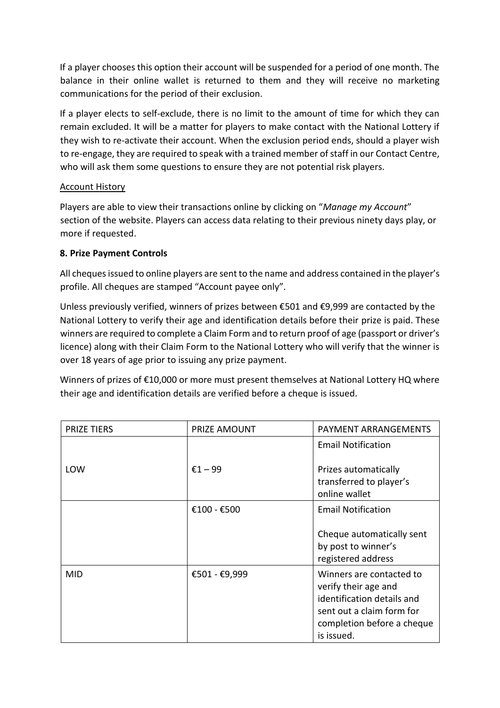If a player chooses this option their account will be suspended for a period of one month. The balance in their online wallet is returned to them and they will receive no marketing communications for the period of their exclusion.

If a player elects to self-exclude, there is no limit to the amount of time for which they can remain excluded. It will be a matter for players to make contact with the National Lottery if they wish to re-activate their account. When the exclusion period ends, should a player wish to re-engage, they are required to speak with a trained member of staff in our Contact Centre, who will ask them some questions to ensure they are not potential risk players.

#### Account History

Players are able to view their transactions online by clicking on "*Manage my Account*" section of the website. Players can access data relating to their previous ninety days play, or more if requested.

## **8. Prize Payment Controls**

All cheques issued to online players are sent to the name and address contained in the player's profile. All cheques are stamped "Account payee only".

Unless previously verified, winners of prizes between €501 and €9,999 are contacted by the National Lottery to verify their age and identification details before their prize is paid. These winners are required to complete a Claim Form and to return proof of age (passport or driver's licence) along with their Claim Form to the National Lottery who will verify that the winner is over 18 years of age prior to issuing any prize payment.

Winners of prizes of €10,000 or more must present themselves at National Lottery HQ where their age and identification details are verified before a cheque is issued.

| <b>PRIZE TIERS</b> | PRIZE AMOUNT  | PAYMENT ARRANGEMENTS                                                                                                                                    |
|--------------------|---------------|---------------------------------------------------------------------------------------------------------------------------------------------------------|
|                    |               | <b>Email Notification</b>                                                                                                                               |
| LOW                | €1 – 99       | Prizes automatically<br>transferred to player's<br>online wallet                                                                                        |
|                    | €100 - €500   | <b>Email Notification</b><br>Cheque automatically sent                                                                                                  |
|                    |               | by post to winner's<br>registered address                                                                                                               |
| <b>MID</b>         | €501 - €9,999 | Winners are contacted to<br>verify their age and<br>identification details and<br>sent out a claim form for<br>completion before a cheque<br>is issued. |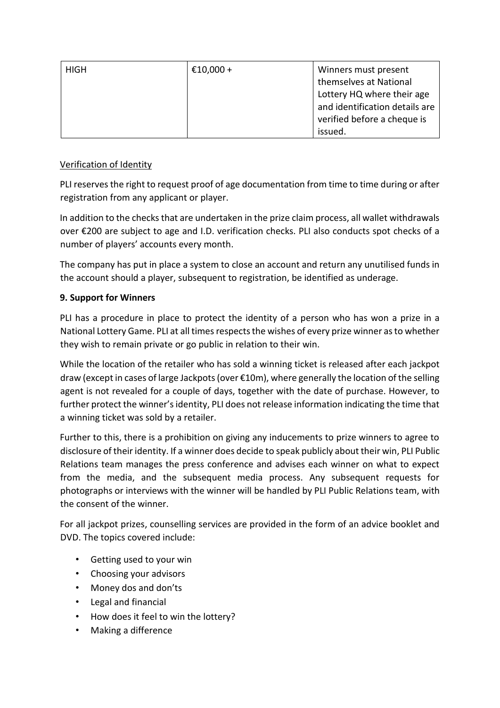| <b>HIGH</b> | €10,000 + | Winners must present           |
|-------------|-----------|--------------------------------|
|             |           | themselves at National         |
|             |           | Lottery HQ where their age     |
|             |           | and identification details are |
|             |           | verified before a cheque is    |
|             |           | issued.                        |

## Verification of Identity

PLI reserves the right to request proof of age documentation from time to time during or after registration from any applicant or player.

In addition to the checks that are undertaken in the prize claim process, all wallet withdrawals over €200 are subject to age and I.D. verification checks. PLI also conducts spot checks of a number of players' accounts every month.

The company has put in place a system to close an account and return any unutilised funds in the account should a player, subsequent to registration, be identified as underage.

## **9. Support for Winners**

PLI has a procedure in place to protect the identity of a person who has won a prize in a National Lottery Game. PLI at all times respects the wishes of every prize winner as to whether they wish to remain private or go public in relation to their win.

While the location of the retailer who has sold a winning ticket is released after each jackpot draw (except in cases of large Jackpots (over €10m), where generally the location of the selling agent is not revealed for a couple of days, together with the date of purchase. However, to further protect the winner's identity, PLI does not release information indicating the time that a winning ticket was sold by a retailer.

Further to this, there is a prohibition on giving any inducements to prize winners to agree to disclosure of their identity. If a winner does decide to speak publicly about their win, PLI Public Relations team manages the press conference and advises each winner on what to expect from the media, and the subsequent media process. Any subsequent requests for photographs or interviews with the winner will be handled by PLI Public Relations team, with the consent of the winner.

For all jackpot prizes, counselling services are provided in the form of an advice booklet and DVD. The topics covered include:

- Getting used to your win
- Choosing your advisors
- Money dos and don'ts
- Legal and financial
- How does it feel to win the lottery?
- Making a difference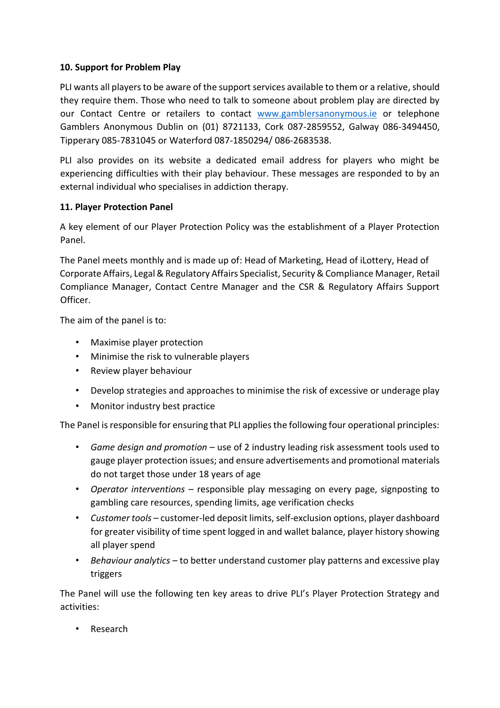#### **10. Support for Problem Play**

PLI wants all players to be aware of the support services available to them or a relative, should they require them. Those who need to talk to someone about problem play are directed by our Contact Centre or retailers to contact [www.gamblersanonymous.ie](http://www.gamblersanonymous.ie/) [o](http://www.gamblersanonymous.ie/)r telephone Gamblers Anonymous Dublin on (01) 8721133, Cork 087-2859552, Galway 086-3494450, Tipperary 085-7831045 or Waterford 087-1850294/ 086-2683538.

PLI also provides on its website a dedicated email address for players who might be experiencing difficulties with their play behaviour. These messages are responded to by an external individual who specialises in addiction therapy.

## **11. Player Protection Panel**

A key element of our Player Protection Policy was the establishment of a Player Protection Panel.

The Panel meets monthly and is made up of: Head of Marketing, Head of iLottery, Head of Corporate Affairs, Legal & Regulatory Affairs Specialist, Security & Compliance Manager, Retail Compliance Manager, Contact Centre Manager and the CSR & Regulatory Affairs Support Officer.

The aim of the panel is to:

- Maximise player protection
- Minimise the risk to vulnerable players
- Review player behaviour
- Develop strategies and approaches to minimise the risk of excessive or underage play
- Monitor industry best practice

The Panel is responsible for ensuring that PLI applies the following four operational principles:

- *Game design and promotion* use of 2 industry leading risk assessment tools used to gauge player protection issues; and ensure advertisements and promotional materials do not target those under 18 years of age
- *Operator interventions* responsible play messaging on every page, signposting to gambling care resources, spending limits, age verification checks
- *Customer tools* customer-led deposit limits, self-exclusion options, player dashboard for greater visibility of time spent logged in and wallet balance, player history showing all player spend
- *Behaviour analytics* to better understand customer play patterns and excessive play triggers

The Panel will use the following ten key areas to drive PLI's Player Protection Strategy and activities:

• Research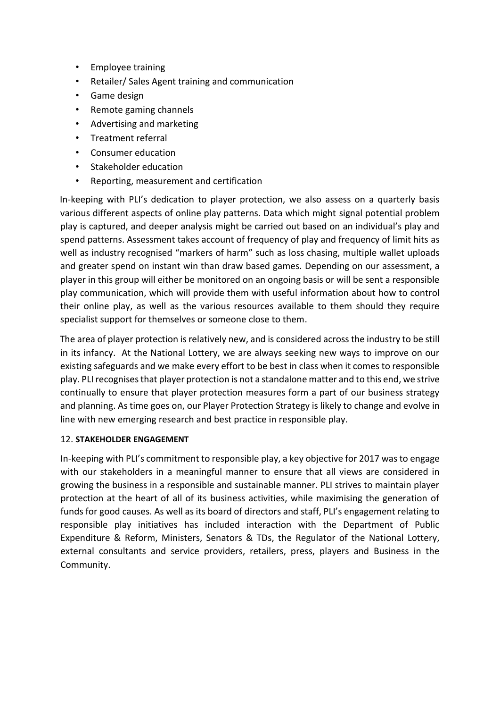- Employee training
- Retailer/ Sales Agent training and communication
- Game design
- Remote gaming channels
- Advertising and marketing
- Treatment referral
- Consumer education
- Stakeholder education
- Reporting, measurement and certification

In-keeping with PLI's dedication to player protection, we also assess on a quarterly basis various different aspects of online play patterns. Data which might signal potential problem play is captured, and deeper analysis might be carried out based on an individual's play and spend patterns. Assessment takes account of frequency of play and frequency of limit hits as well as industry recognised "markers of harm" such as loss chasing, multiple wallet uploads and greater spend on instant win than draw based games. Depending on our assessment, a player in this group will either be monitored on an ongoing basis or will be sent a responsible play communication, which will provide them with useful information about how to control their online play, as well as the various resources available to them should they require specialist support for themselves or someone close to them.

The area of player protection is relatively new, and is considered across the industry to be still in its infancy. At the National Lottery, we are always seeking new ways to improve on our existing safeguards and we make every effort to be best in class when it comes to responsible play. PLI recognises that player protection is not a standalone matter and to this end, we strive continually to ensure that player protection measures form a part of our business strategy and planning. As time goes on, our Player Protection Strategy is likely to change and evolve in line with new emerging research and best practice in responsible play.

#### 12. **STAKEHOLDER ENGAGEMENT**

In-keeping with PLI's commitment to responsible play, a key objective for 2017 was to engage with our stakeholders in a meaningful manner to ensure that all views are considered in growing the business in a responsible and sustainable manner. PLI strives to maintain player protection at the heart of all of its business activities, while maximising the generation of funds for good causes. As well as its board of directors and staff, PLI's engagement relating to responsible play initiatives has included interaction with the Department of Public Expenditure & Reform, Ministers, Senators & TDs, the Regulator of the National Lottery, external consultants and service providers, retailers, press, players and Business in the Community.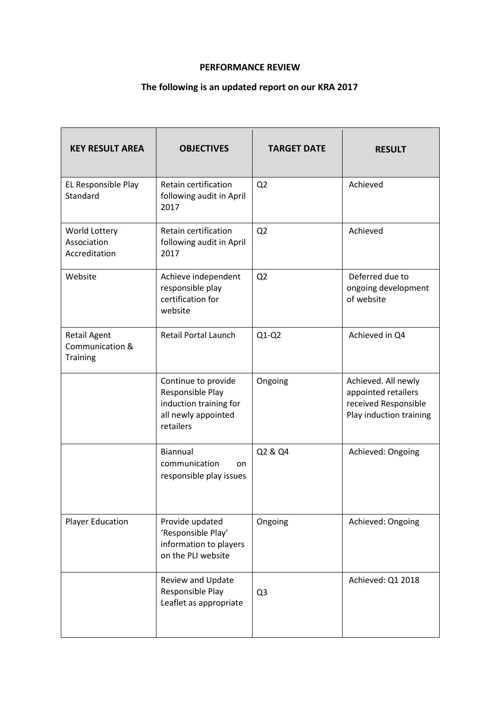#### **PERFORMANCE REVIEW**

# **The following is an updated report on our KRA 2017**

| <b>KEY RESULT AREA</b>                                    | <b>OBJECTIVES</b>                                                                                     | <b>TARGET DATE</b> | <b>RESULT</b>                                                                                 |
|-----------------------------------------------------------|-------------------------------------------------------------------------------------------------------|--------------------|-----------------------------------------------------------------------------------------------|
| EL Responsible Play<br>Standard                           | Retain certification<br>following audit in April<br>2017                                              | Q <sub>2</sub>     | Achieved                                                                                      |
| World Lottery<br>Association<br>Accreditation             | Retain certification<br>following audit in April<br>2017                                              | Q <sub>2</sub>     | Achieved                                                                                      |
| Website                                                   | Achieve independent<br>responsible play<br>certification for<br>website                               | Q <sub>2</sub>     | Deferred due to<br>ongoing development<br>of website                                          |
| <b>Retail Agent</b><br>Communication &<br><b>Training</b> | <b>Retail Portal Launch</b>                                                                           | $Q1-Q2$            | Achieved in Q4                                                                                |
|                                                           | Continue to provide<br>Responsible Play<br>induction training for<br>all newly appointed<br>retailers | Ongoing            | Achieved. All newly<br>appointed retailers<br>received Responsible<br>Play induction training |
|                                                           | Biannual<br>communication<br>on<br>responsible play issues                                            | Q2 & Q4            | Achieved: Ongoing                                                                             |
| <b>Player Education</b>                                   | Provide updated<br>'Responsible Play'<br>information to players<br>on the PLI website                 | Ongoing            | Achieved: Ongoing                                                                             |
|                                                           | Review and Update<br>Responsible Play<br>Leaflet as appropriate                                       | Q <sub>3</sub>     | Achieved: Q1 2018                                                                             |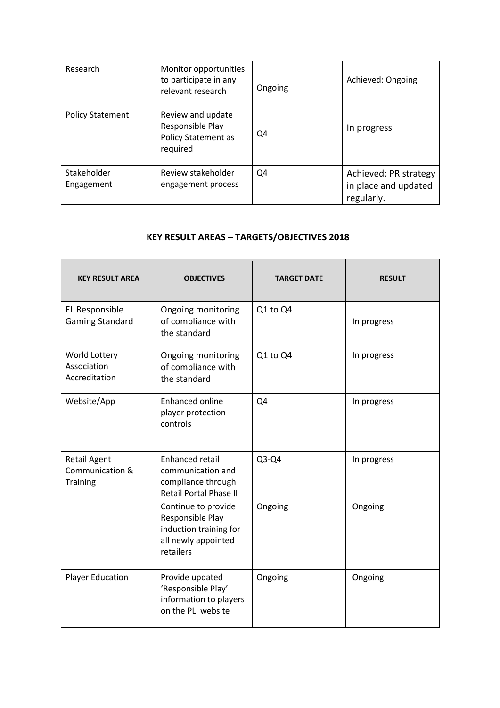| Research                  | Monitor opportunities<br>to participate in any<br>relevant research             | Ongoing | Achieved: Ongoing                                           |
|---------------------------|---------------------------------------------------------------------------------|---------|-------------------------------------------------------------|
| <b>Policy Statement</b>   | Review and update<br>Responsible Play<br><b>Policy Statement as</b><br>required | Q4      | In progress                                                 |
| Stakeholder<br>Engagement | Review stakeholder<br>engagement process                                        | Q4      | Achieved: PR strategy<br>in place and updated<br>regularly. |

# **KEY RESULT AREAS – TARGETS/OBJECTIVES 2018**

| <b>KEY RESULT AREA</b>                                    | <b>OBJECTIVES</b>                                                                                     | <b>TARGET DATE</b> | <b>RESULT</b> |
|-----------------------------------------------------------|-------------------------------------------------------------------------------------------------------|--------------------|---------------|
| EL Responsible<br><b>Gaming Standard</b>                  | Ongoing monitoring<br>of compliance with<br>the standard                                              | Q1 to Q4           | In progress   |
| World Lottery<br>Association<br>Accreditation             | Ongoing monitoring<br>of compliance with<br>the standard                                              | Q1 to Q4           | In progress   |
| Website/App                                               | <b>Enhanced online</b><br>player protection<br>controls                                               | Q4                 | In progress   |
| <b>Retail Agent</b><br>Communication &<br><b>Training</b> | Enhanced retail<br>communication and<br>compliance through<br><b>Retail Portal Phase II</b>           | $Q3-Q4$            | In progress   |
|                                                           | Continue to provide<br>Responsible Play<br>induction training for<br>all newly appointed<br>retailers | Ongoing            | Ongoing       |
| <b>Player Education</b>                                   | Provide updated<br>'Responsible Play'<br>information to players<br>on the PLI website                 | Ongoing            | Ongoing       |